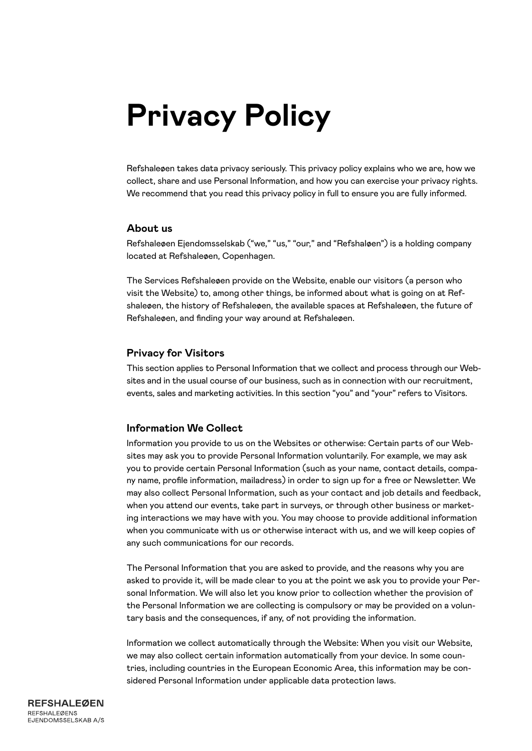# **Privacy Policy**

Refshaleøen takes data privacy seriously. This privacy policy explains who we are, how we collect, share and use Personal Information, and how you can exercise your privacy rights. We recommend that you read this privacy policy in full to ensure you are fully informed.

#### **About us**

Refshaleøen Ejendomsselskab ("we," "us," "our," and "Refshaløen") is a holding company located at Refshaleøen, Copenhagen.

The Services Refshaleøen provide on the Website, enable our visitors (a person who visit the Website) to, among other things, be informed about what is going on at Refshaleøen, the history of Refshaleøen, the available spaces at Refshaleøen, the future of Refshaleøen, and finding your way around at Refshaleøen.

#### **Privacy for Visitors**

This section applies to Personal Information that we collect and process through our Websites and in the usual course of our business, such as in connection with our recruitment, events, sales and marketing activities. In this section "you" and "your" refers to Visitors.

#### **Information We Collect**

Information you provide to us on the Websites or otherwise: Certain parts of our Websites may ask you to provide Personal Information voluntarily. For example, we may ask you to provide certain Personal Information (such as your name, contact details, company name, profile information, mailadress) in order to sign up for a free or Newsletter. We may also collect Personal Information, such as your contact and job details and feedback, when you attend our events, take part in surveys, or through other business or marketing interactions we may have with you. You may choose to provide additional information when you communicate with us or otherwise interact with us, and we will keep copies of any such communications for our records.

The Personal Information that you are asked to provide, and the reasons why you are asked to provide it, will be made clear to you at the point we ask you to provide your Personal Information. We will also let you know prior to collection whether the provision of the Personal Information we are collecting is compulsory or may be provided on a voluntary basis and the consequences, if any, of not providing the information.

Information we collect automatically through the Website: When you visit our Website, we may also collect certain information automatically from your device. In some countries, including countries in the European Economic Area, this information may be considered Personal Information under applicable data protection laws.